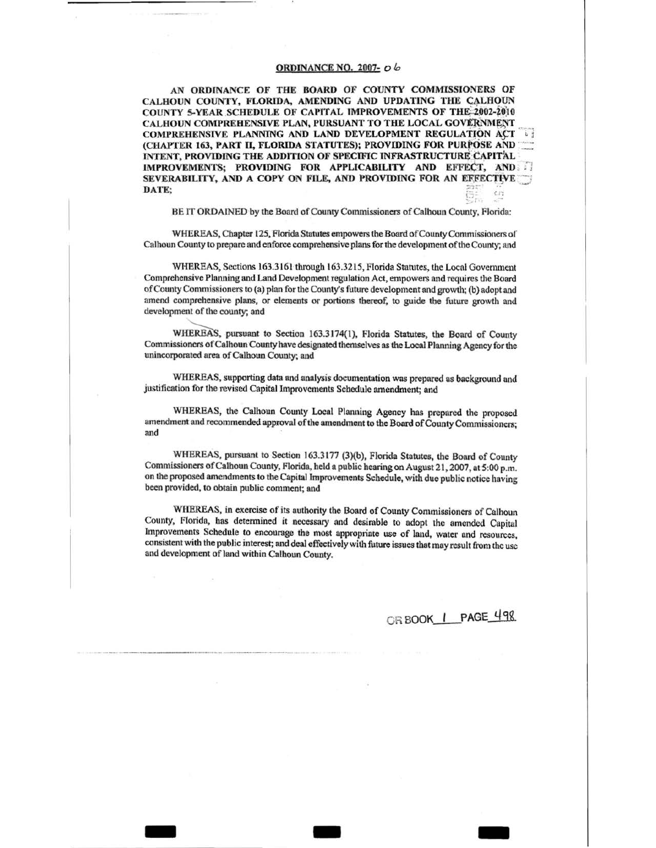# **ORDINANCE NO. 2007- 06**

AN ORDINANCE OF THE BOARD OF COUNTY COMMISSIONERS OF CALHOUN COUNTY, FLORIDA, AMENDING AND UPDATING THE CALHOUN COUNTY 5-YEAR SCHEDULE OF CAPITAL IMPROVEMENTS OF THE 2002-2010 CALHOUN COMPREHENSIVE PLAN, PURSUANT TO THE LOCAL GOVERNMENT COMPREHENSIVE PLANNING AND LAND DEVELOPMENT REGULATION ACT (CHAPTER 163, PART II, FLORIDA STATUTES); PROVIDING FOR PURPOSE AND INTENT, PROVIDING THE ADDITION OF SPECIFIC INFRASTRUCTURE CAPITAL IMPROVEMENTS; PROVIDING FOR APPLICABILITY AND EFFECT, AND SEVERABILITY, AND A COPY ON FILE, AND PROVIDING FOR AN EFFECTIVE DATE;  $C/2$ 

BE IT ORDAINED by the Board of County Commissioners of Calhoun County, Florida:

WHEREAS, Chapter 125, Florida Statutes empowers the Board of County Commissioners of Calhoun County to prepare and enforce comprehensive plans for the development of the County; and

WHEREAS, Sections 163.3161 through 163.3215, Florida Statutes, the Local Government Comprehensive Planning and Land Development regulation Act, empowers and requires the Board of County Commissioners to (a) plan for the County's future development and growth; (b) adopt and amend comprehensive plans, or elements or portions thereof, to guide the future growth and development of the county; and

WHEREAS, pursuant to Section 163.3174(1), Florida Statutes, the Board of County Commissioners of Calhoun County have designated themselves as the Local Planning Agency for the unincorporated area of Calhoun County; and

WHEREAS, supporting data and analysis documentation was prepared as background and justification for the revised Capital Improvements Schedule amendment; and

WHEREAS, the Calhoun County Local Planning Agency has prepared the proposed amendment and recommended approval of the amendment to the Board of County Commissioners; and

WHEREAS, pursuant to Section 163.3177 (3)(b), Florida Statutes, the Board of County Commissioners of Calhoun County, Florida, held a public hearing on August 21, 2007, at 5:00 p.m. on the proposed amendments to the Capital Improvements Schedule, with due public notice having been provided, to obtain public comment; and

WHEREAS, in exercise of its authority the Board of County Commissioners of Calhoun County, Florida, has determined it necessary and desirable to adopt the amended Capital Improvements Schedule to encourage the most appropriate use of land, water and resources, consistent with the public interest; and deal effectively with future issues that may result from the use and development of land within Calhoun County.

OR BOOK | PAGE 498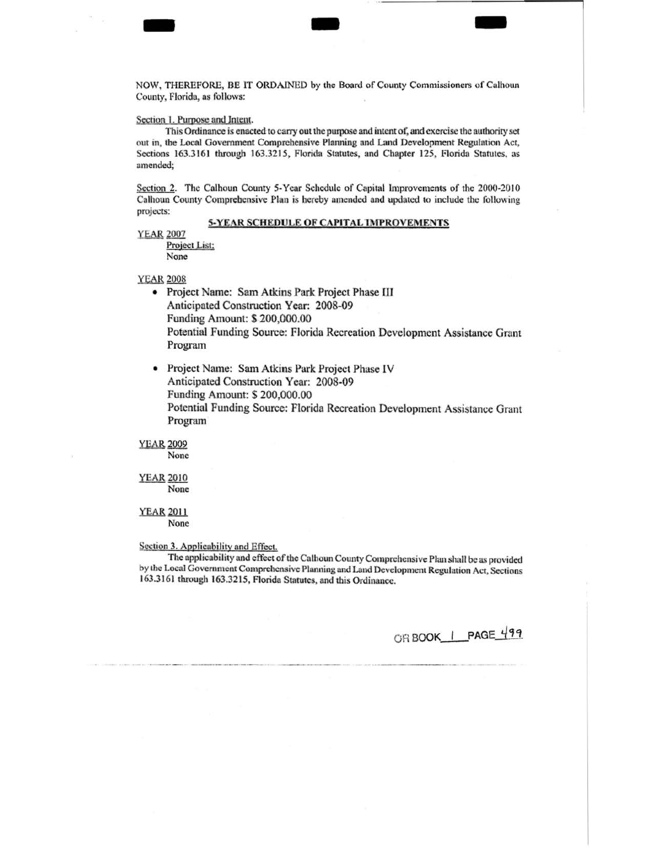NOW, THEREFORE, BE lT ORDAINED by the Board of County Commissioners of Culhoun County, florida, as follows:

- - -

### Section I. Purpose and Jntem.

This Ordinance is enacted to cany out the purpose and iment of; and exercise the authority set out in, the Local Government Comprehensive Planning and Land Development Regulation Act, Sections 163.3161 through 163.3215, Florida Statutes, and Chapter 125, Florida Statutes, as amended;

Section 2. The Calhoun County 5-Year Schedule of Capital Improvements of the 2000-2010 Calhoun County Comprehensive Plan is hereby amended and updated to include the following projects:

## 5-YEAR SCHEDULE OF CAPITAL IMPROVEMENTS

YEAR 2007

Project List: None

**YEAR 2008** 

- Project Name: Sam Atkins Park Project Phase III Anticipated Construction Year: 2008-09 Funding Amount: \$ 200,000.00 Potential Funding Source: Florida Recreation Development Assistance Grant Program
- Project Name: Sam Atkins Park Project Phase IV Anticipated Construction Year: 2008-09 Funding Amount: S 200,000.00 Potential Funding Source: Florida Recrearion Development Assistance Grant Program

**YEAR 2009** None

YEAR 2010 None

YEAR2011 None

Section 3. Applicability and Effect.

The applicability and effect of the Calhoun County Comprehensive Plan shall be as provided by the Local Government Comprehensive Planning and Land Development Regulation Act, Sections 163.3161 through 163.3215, Florida Statutes, and this Ordinance.

OR BOOK\_I\_PAGE\_499